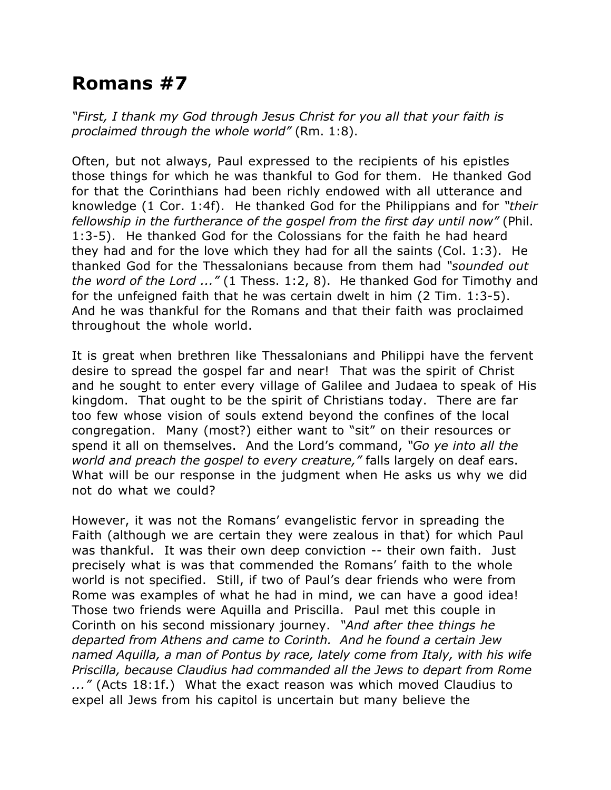## **Romans #7**

*"First, I thank my God through Jesus Christ for you all that your faith is proclaimed through the whole world"* (Rm. 1:8).

Often, but not always, Paul expressed to the recipients of his epistles those things for which he was thankful to God for them. He thanked God for that the Corinthians had been richly endowed with all utterance and knowledge (1 Cor. 1:4f). He thanked God for the Philippians and for *"their fellowship in the furtherance of the gospel from the first day until now"* (Phil. 1:3-5). He thanked God for the Colossians for the faith he had heard they had and for the love which they had for all the saints (Col. 1:3). He thanked God for the Thessalonians because from them had *"sounded out the word of the Lord ..."* (1 Thess. 1:2, 8). He thanked God for Timothy and for the unfeigned faith that he was certain dwelt in him (2 Tim. 1:3-5). And he was thankful for the Romans and that their faith was proclaimed throughout the whole world.

It is great when brethren like Thessalonians and Philippi have the fervent desire to spread the gospel far and near! That was the spirit of Christ and he sought to enter every village of Galilee and Judaea to speak of His kingdom. That ought to be the spirit of Christians today. There are far too few whose vision of souls extend beyond the confines of the local congregation. Many (most?) either want to "sit" on their resources or spend it all on themselves. And the Lord's command, *"Go ye into all the world and preach the gospel to every creature,"* falls largely on deaf ears. What will be our response in the judgment when He asks us why we did not do what we could?

However, it was not the Romans' evangelistic fervor in spreading the Faith (although we are certain they were zealous in that) for which Paul was thankful. It was their own deep conviction -- their own faith. Just precisely what is was that commended the Romans' faith to the whole world is not specified. Still, if two of Paul's dear friends who were from Rome was examples of what he had in mind, we can have a good idea! Those two friends were Aquilla and Priscilla. Paul met this couple in Corinth on his second missionary journey. *"And after thee things he departed from Athens and came to Corinth. And he found a certain Jew named Aquilla, a man of Pontus by race, lately come from Italy, with his wife Priscilla, because Claudius had commanded all the Jews to depart from Rome ..."* (Acts 18:1f.) What the exact reason was which moved Claudius to expel all Jews from his capitol is uncertain but many believe the